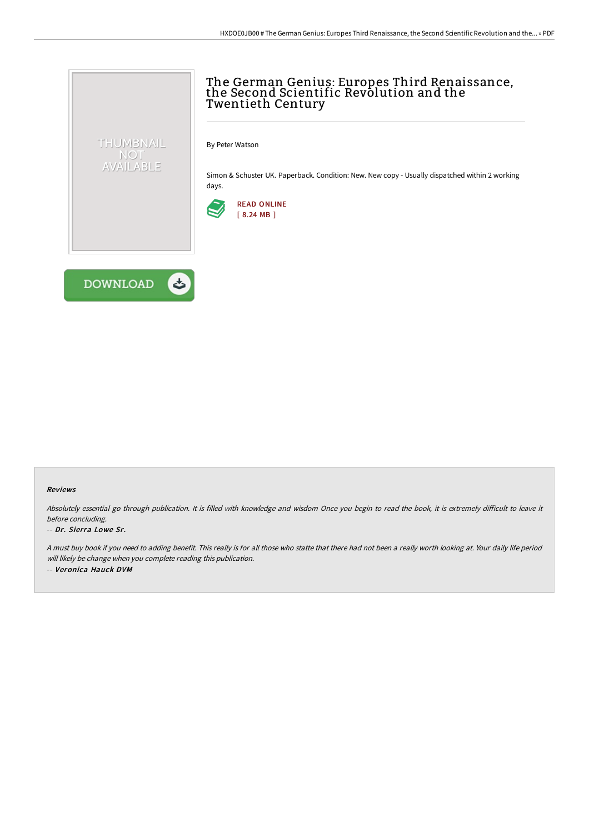

By Peter Watson

Simon & Schuster UK. Paperback. Condition: New. New copy - Usually dispatched within 2 working days.





THUMBNAIL NOT AVAILABLE

## Reviews

Absolutely essential go through publication. It is filled with knowledge and wisdom Once you begin to read the book, it is extremely difficult to leave it before concluding.

## -- Dr. Sierra Lowe Sr.

<sup>A</sup> must buy book if you need to adding benefit. This really is for all those who statte that there had not been <sup>a</sup> really worth looking at. Your daily life period will likely be change when you complete reading this publication. -- Veronica Hauck DVM